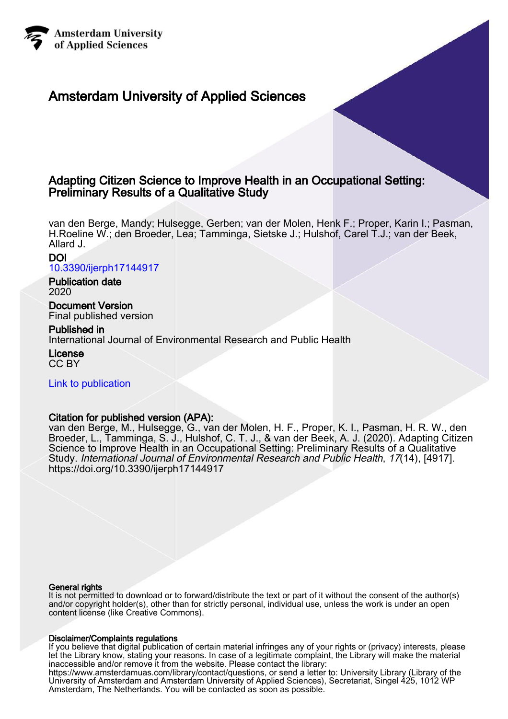

# Amsterdam University of Applied Sciences

# Adapting Citizen Science to Improve Health in an Occupational Setting: Preliminary Results of a Qualitative Study

van den Berge, Mandy; Hulsegge, Gerben; van der Molen, Henk F.; Proper, Karin I.; Pasman, H.Roeline W.; den Broeder, Lea; Tamminga, Sietske J.; Hulshof, Carel T.J.; van der Beek, Allard J.

# DOI [10.3390/ijerph17144917](https://doi.org/10.3390/ijerph17144917)

Publication date 2020

Document Version Final published version

Published in International Journal of Environmental Research and Public Health License

CC BY

[Link to publication](https://research.hva.nl/en/publications/f27a851f-b857-45dd-bb77-2a3c4bc24343)

# Citation for published version (APA):

van den Berge, M., Hulsegge, G., van der Molen, H. F., Proper, K. I., Pasman, H. R. W., den Broeder, L., Tamminga, S. J., Hulshof, C. T. J., & van der Beek, A. J. (2020). Adapting Citizen Science to Improve Health in an Occupational Setting: Preliminary Results of a Qualitative Study. International Journal of Environmental Research and Public Health, 17(14), [4917]. <https://doi.org/10.3390/ijerph17144917>

# General rights

It is not permitted to download or to forward/distribute the text or part of it without the consent of the author(s) and/or copyright holder(s), other than for strictly personal, individual use, unless the work is under an open content license (like Creative Commons).

# Disclaimer/Complaints regulations

If you believe that digital publication of certain material infringes any of your rights or (privacy) interests, please let the Library know, stating your reasons. In case of a legitimate complaint, the Library will make the material inaccessible and/or remove it from the website. Please contact the library:

https://www.amsterdamuas.com/library/contact/questions, or send a letter to: University Library (Library of the University of Amsterdam and Amsterdam University of Applied Sciences), Secretariat, Singel 425, 1012 WP Amsterdam, The Netherlands. You will be contacted as soon as possible.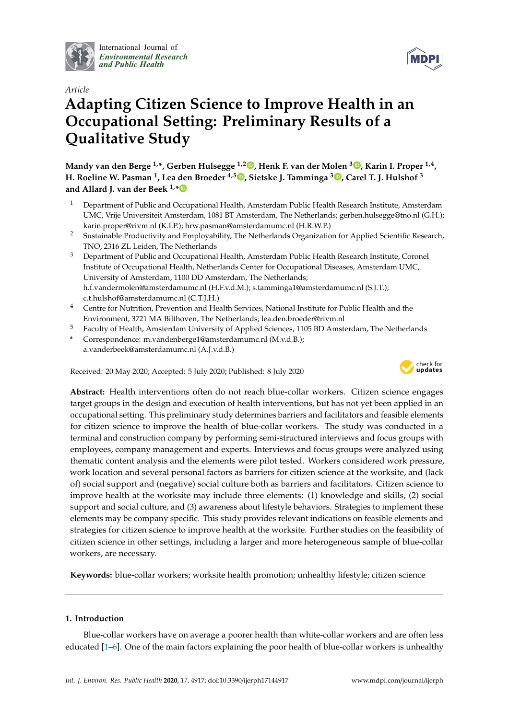

International Journal of *[Environmental Research](http://www.mdpi.com/journal/ijerph) and Public Health*



# *Article* **Adapting Citizen Science to Improve Health in an Occupational Setting: Preliminary Results of a Qualitative Study**

**Mandy van den Berge 1,\*, Gerben Hulsegge 1,2 [,](https://orcid.org/0000-0003-4649-9436) Henk F. van der Molen <sup>3</sup> [,](https://orcid.org/0000-0002-0719-2020) Karin I. Proper 1,4 , H. Roeline W. Pasman <sup>1</sup> , Lea den Broeder 4,5 [,](https://orcid.org/0000-0003-1927-4530) Sietske J. Tamminga <sup>3</sup> [,](https://orcid.org/0000-0002-2228-1187) Carel T. J. Hulshof <sup>3</sup> and Allard J. van der Beek 1,[\\*](https://orcid.org/0000-0002-4672-9062)**

- <sup>1</sup> Department of Public and Occupational Health, Amsterdam Public Health Research Institute, Amsterdam UMC, Vrije Universiteit Amsterdam, 1081 BT Amsterdam, The Netherlands; gerben.hulsegge@tno.nl (G.H.); karin.proper@rivm.nl (K.I.P.); hrw.pasman@amsterdamumc.nl (H.R.W.P.)
- <sup>2</sup> Sustainable Productivity and Employability, The Netherlands Organization for Applied Scientific Research, TNO, 2316 ZL Leiden, The Netherlands
- <sup>3</sup> Department of Public and Occupational Health, Amsterdam Public Health Research Institute, Coronel Institute of Occupational Health, Netherlands Center for Occupational Diseases, Amsterdam UMC, University of Amsterdam, 1100 DD Amsterdam, The Netherlands; h.f.vandermolen@amsterdamumc.nl (H.F.v.d.M.); s.tamminga1@amsterdamumc.nl (S.J.T.); c.t.hulshof@amsterdamumc.nl (C.T.J.H.)
- <sup>4</sup> Centre for Nutrition, Prevention and Health Services, National Institute for Public Health and the Environment, 3721 MA Bilthoven, The Netherlands; lea.den.broeder@rivm.nl
- <sup>5</sup> Faculty of Health, Amsterdam University of Applied Sciences, 1105 BD Amsterdam, The Netherlands
- **\*** Correspondence: m.vandenberge1@amsterdamumc.nl (M.v.d.B.); a.vanderbeek@amsterdamumc.nl (A.J.v.d.B.)

Received: 20 May 2020; Accepted: 5 July 2020; Published: 8 July 2020



**Abstract:** Health interventions often do not reach blue-collar workers. Citizen science engages target groups in the design and execution of health interventions, but has not yet been applied in an occupational setting. This preliminary study determines barriers and facilitators and feasible elements for citizen science to improve the health of blue-collar workers. The study was conducted in a terminal and construction company by performing semi-structured interviews and focus groups with employees, company management and experts. Interviews and focus groups were analyzed using thematic content analysis and the elements were pilot tested. Workers considered work pressure, work location and several personal factors as barriers for citizen science at the worksite, and (lack of) social support and (negative) social culture both as barriers and facilitators. Citizen science to improve health at the worksite may include three elements: (1) knowledge and skills, (2) social support and social culture, and (3) awareness about lifestyle behaviors. Strategies to implement these elements may be company specific. This study provides relevant indications on feasible elements and strategies for citizen science to improve health at the worksite. Further studies on the feasibility of citizen science in other settings, including a larger and more heterogeneous sample of blue-collar workers, are necessary.

**Keywords:** blue-collar workers; worksite health promotion; unhealthy lifestyle; citizen science

# **1. Introduction**

Blue-collar workers have on average a poorer health than white-collar workers and are often less educated [\[1–](#page-16-0)[6\]](#page-16-1). One of the main factors explaining the poor health of blue-collar workers is unhealthy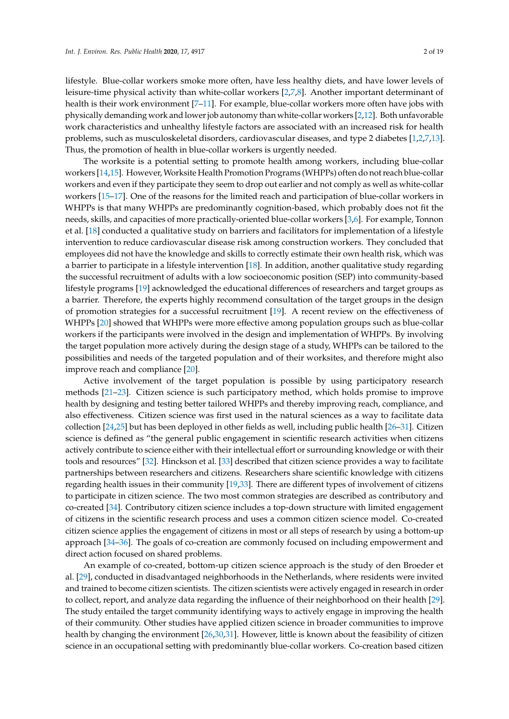lifestyle. Blue-collar workers smoke more often, have less healthy diets, and have lower levels of leisure-time physical activity than white-collar workers [\[2,](#page-16-2)[7,](#page-16-3)[8\]](#page-16-4). Another important determinant of health is their work environment [\[7](#page-16-3)[–11\]](#page-17-0). For example, blue-collar workers more often have jobs with physically demanding work and lower job autonomy than white-collar workers [\[2](#page-16-2)[,12\]](#page-17-1). Both unfavorable work characteristics and unhealthy lifestyle factors are associated with an increased risk for health problems, such as musculoskeletal disorders, cardiovascular diseases, and type 2 diabetes [\[1,](#page-16-0)[2,](#page-16-2)[7,](#page-16-3)[13\]](#page-17-2). Thus, the promotion of health in blue-collar workers is urgently needed.

The worksite is a potential setting to promote health among workers, including blue-collar workers [\[14](#page-17-3)[,15\]](#page-17-4). However, Worksite Health Promotion Programs (WHPPs) often do not reach blue-collar workers and even if they participate they seem to drop out earlier and not comply as well as white-collar workers [\[15](#page-17-4)[–17\]](#page-17-5). One of the reasons for the limited reach and participation of blue-collar workers in WHPPs is that many WHPPs are predominantly cognition-based, which probably does not fit the needs, skills, and capacities of more practically-oriented blue-collar workers [\[3,](#page-16-5)[6\]](#page-16-1). For example, Tonnon et al. [\[18\]](#page-17-6) conducted a qualitative study on barriers and facilitators for implementation of a lifestyle intervention to reduce cardiovascular disease risk among construction workers. They concluded that employees did not have the knowledge and skills to correctly estimate their own health risk, which was a barrier to participate in a lifestyle intervention [\[18\]](#page-17-6). In addition, another qualitative study regarding the successful recruitment of adults with a low socioeconomic position (SEP) into community-based lifestyle programs [\[19\]](#page-17-7) acknowledged the educational differences of researchers and target groups as a barrier. Therefore, the experts highly recommend consultation of the target groups in the design of promotion strategies for a successful recruitment [\[19\]](#page-17-7). A recent review on the effectiveness of WHPPs [\[20\]](#page-17-8) showed that WHPPs were more effective among population groups such as blue-collar workers if the participants were involved in the design and implementation of WHPPs. By involving the target population more actively during the design stage of a study, WHPPs can be tailored to the possibilities and needs of the targeted population and of their worksites, and therefore might also improve reach and compliance [\[20\]](#page-17-8).

Active involvement of the target population is possible by using participatory research methods [\[21](#page-17-9)[–23\]](#page-17-10). Citizen science is such participatory method, which holds promise to improve health by designing and testing better tailored WHPPs and thereby improving reach, compliance, and also effectiveness. Citizen science was first used in the natural sciences as a way to facilitate data collection [\[24](#page-17-11)[,25\]](#page-17-12) but has been deployed in other fields as well, including public health [\[26–](#page-17-13)[31\]](#page-18-0). Citizen science is defined as "the general public engagement in scientific research activities when citizens actively contribute to science either with their intellectual effort or surrounding knowledge or with their tools and resources" [\[32\]](#page-18-1). Hinckson et al. [\[33\]](#page-18-2) described that citizen science provides a way to facilitate partnerships between researchers and citizens. Researchers share scientific knowledge with citizens regarding health issues in their community [\[19](#page-17-7)[,33\]](#page-18-2). There are different types of involvement of citizens to participate in citizen science. The two most common strategies are described as contributory and co-created [\[34\]](#page-18-3). Contributory citizen science includes a top-down structure with limited engagement of citizens in the scientific research process and uses a common citizen science model. Co-created citizen science applies the engagement of citizens in most or all steps of research by using a bottom-up approach [\[34–](#page-18-3)[36\]](#page-18-4). The goals of co-creation are commonly focused on including empowerment and direct action focused on shared problems.

An example of co-created, bottom-up citizen science approach is the study of den Broeder et al. [\[29\]](#page-18-5), conducted in disadvantaged neighborhoods in the Netherlands, where residents were invited and trained to become citizen scientists. The citizen scientists were actively engaged in research in order to collect, report, and analyze data regarding the influence of their neighborhood on their health [\[29\]](#page-18-5). The study entailed the target community identifying ways to actively engage in improving the health of their community. Other studies have applied citizen science in broader communities to improve health by changing the environment [\[26](#page-17-13)[,30,](#page-18-6)[31\]](#page-18-0). However, little is known about the feasibility of citizen science in an occupational setting with predominantly blue-collar workers. Co-creation based citizen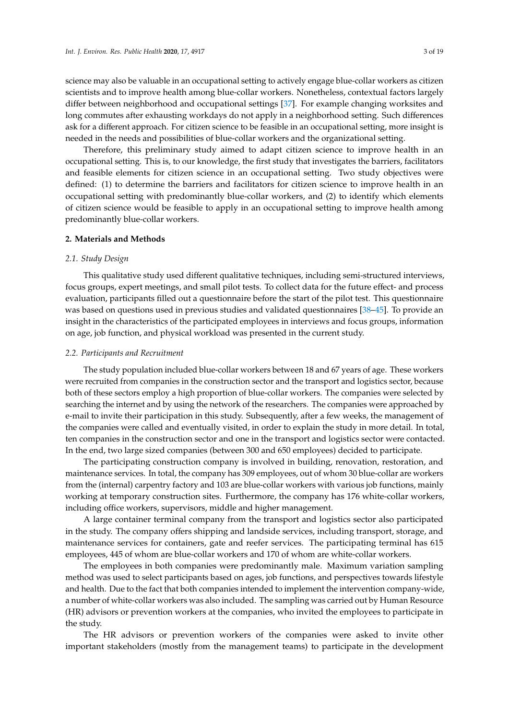science may also be valuable in an occupational setting to actively engage blue-collar workers as citizen scientists and to improve health among blue-collar workers. Nonetheless, contextual factors largely differ between neighborhood and occupational settings [\[37\]](#page-18-7). For example changing worksites and long commutes after exhausting workdays do not apply in a neighborhood setting. Such differences ask for a different approach. For citizen science to be feasible in an occupational setting, more insight is needed in the needs and possibilities of blue-collar workers and the organizational setting.

Therefore, this preliminary study aimed to adapt citizen science to improve health in an occupational setting. This is, to our knowledge, the first study that investigates the barriers, facilitators and feasible elements for citizen science in an occupational setting. Two study objectives were defined: (1) to determine the barriers and facilitators for citizen science to improve health in an occupational setting with predominantly blue-collar workers, and (2) to identify which elements of citizen science would be feasible to apply in an occupational setting to improve health among predominantly blue-collar workers.

#### **2. Materials and Methods**

#### *2.1. Study Design*

This qualitative study used different qualitative techniques, including semi-structured interviews, focus groups, expert meetings, and small pilot tests. To collect data for the future effect- and process evaluation, participants filled out a questionnaire before the start of the pilot test. This questionnaire was based on questions used in previous studies and validated questionnaires [\[38–](#page-18-8)[45\]](#page-18-9). To provide an insight in the characteristics of the participated employees in interviews and focus groups, information on age, job function, and physical workload was presented in the current study.

#### *2.2. Participants and Recruitment*

The study population included blue-collar workers between 18 and 67 years of age. These workers were recruited from companies in the construction sector and the transport and logistics sector, because both of these sectors employ a high proportion of blue-collar workers. The companies were selected by searching the internet and by using the network of the researchers. The companies were approached by e-mail to invite their participation in this study. Subsequently, after a few weeks, the management of the companies were called and eventually visited, in order to explain the study in more detail. In total, ten companies in the construction sector and one in the transport and logistics sector were contacted. In the end, two large sized companies (between 300 and 650 employees) decided to participate.

The participating construction company is involved in building, renovation, restoration, and maintenance services. In total, the company has 309 employees, out of whom 30 blue-collar are workers from the (internal) carpentry factory and 103 are blue-collar workers with various job functions, mainly working at temporary construction sites. Furthermore, the company has 176 white-collar workers, including office workers, supervisors, middle and higher management.

A large container terminal company from the transport and logistics sector also participated in the study. The company offers shipping and landside services, including transport, storage, and maintenance services for containers, gate and reefer services. The participating terminal has 615 employees, 445 of whom are blue-collar workers and 170 of whom are white-collar workers.

The employees in both companies were predominantly male. Maximum variation sampling method was used to select participants based on ages, job functions, and perspectives towards lifestyle and health. Due to the fact that both companies intended to implement the intervention company-wide, a number of white-collar workers was also included. The sampling was carried out by Human Resource (HR) advisors or prevention workers at the companies, who invited the employees to participate in the study.

The HR advisors or prevention workers of the companies were asked to invite other important stakeholders (mostly from the management teams) to participate in the development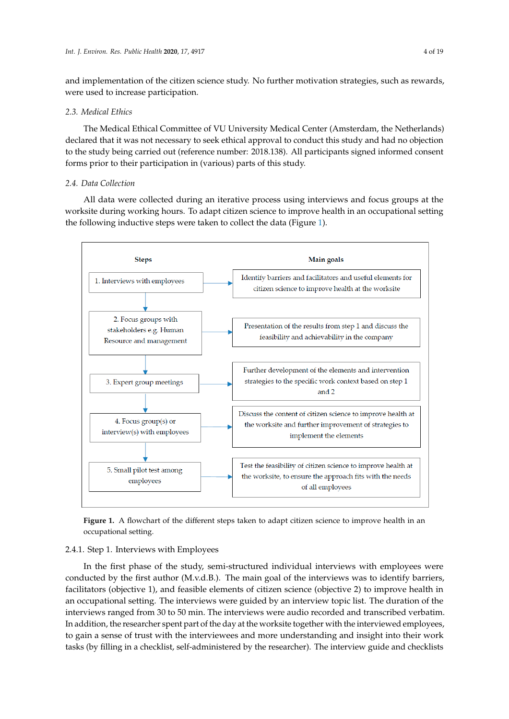and implementation of the citizen science study. No further motivation strategies, such as rewards, were used to increase participation.

#### *2.3. Medical Ethics Int. J. Environ. Res. Public Health* **2020**, *17*, x 4 of 19

The Medical Ethical Committee of VU University Medical Center (Amsterdam, the Netherlands) *2.3. Medical Ethics*  declared that it was not necessary to seek ethical approval to conduct this study and had no objection to the study being carried out (reference number: 2018.138). All participants signed informed consent forms prior to their participation in (various) parts of this study. forms prior to their participation in (various) parts of this study.

### *2.4. Data Collection*

All data were collected during an iterative process using interviews and focus groups at the worksite during working hours. To adapt citizen science to improve health in an occupational setting the following inductive steps were taken to collect the data (Figure [1\)](#page-4-0). the following inductive steps were taken to collect the data (Figure 1). works to a data providing hours. To adapt children science to improve health in an occupational set

<span id="page-4-0"></span>

**Figure 1.** A flowchart of the different steps taken to adapt citizen science to improve health in an **Figure 1.** A flowchart of the different steps taken to adapt citizen science to improve health in an occupational setting. occupational setting.

# 2.4.1 Step 1. Interviews with Employees 2.4.1. Step 1. Interviews with Employees

In the first phase of the study, semi-structured individual interviews with employees were In the first phase of the study, semi-structured individual interviews with employees were conducted by the first author (M.v.d.B.). The main goal of the interviews was to identify barriers, conducted by the first author (M.v.d.B.). The main goal of the interviews was to identify barriers, facilitative 1), and feasible elements of citizen science  $\frac{1}{2}$  to improve health in and  $\frac{1}{2}$  to improve health in and  $\frac{1}{2}$  to improve health in and  $\frac{1}{2}$  to improve health in and  $\frac{1}{2}$  to improve he facilitators (objective 1), and feasible elements of citizen science (objective 2) to improve health in<br> $\overline{\phantom{a}}$ an occupational setting. The interviews were guided by an interview topic list. The duration of the interviews ranged from 30 to 50 min. The interviews were audio recorded and transcribed verbatim. In addition, the researcher spent part of the day at the worksite together with the interviewed employees, to gain a sense of trust with the interviewees and more understanding and insight into their work tasks (by filling in a checklist, self-administered by the researcher). The interview guide and checklists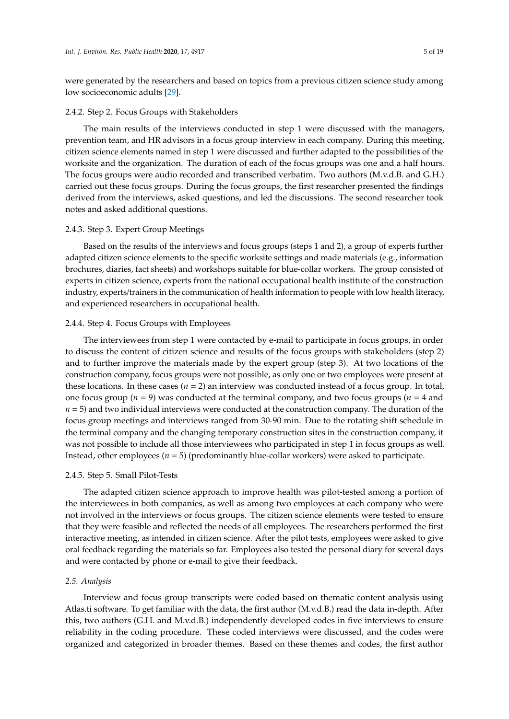were generated by the researchers and based on topics from a previous citizen science study among low socioeconomic adults [\[29\]](#page-18-5).

#### 2.4.2. Step 2. Focus Groups with Stakeholders

The main results of the interviews conducted in step 1 were discussed with the managers, prevention team, and HR advisors in a focus group interview in each company. During this meeting, citizen science elements named in step 1 were discussed and further adapted to the possibilities of the worksite and the organization. The duration of each of the focus groups was one and a half hours. The focus groups were audio recorded and transcribed verbatim. Two authors (M.v.d.B. and G.H.) carried out these focus groups. During the focus groups, the first researcher presented the findings derived from the interviews, asked questions, and led the discussions. The second researcher took notes and asked additional questions.

#### 2.4.3. Step 3. Expert Group Meetings

Based on the results of the interviews and focus groups (steps 1 and 2), a group of experts further adapted citizen science elements to the specific worksite settings and made materials (e.g., information brochures, diaries, fact sheets) and workshops suitable for blue-collar workers. The group consisted of experts in citizen science, experts from the national occupational health institute of the construction industry, experts/trainers in the communication of health information to people with low health literacy, and experienced researchers in occupational health.

#### 2.4.4. Step 4. Focus Groups with Employees

The interviewees from step 1 were contacted by e-mail to participate in focus groups, in order to discuss the content of citizen science and results of the focus groups with stakeholders (step 2) and to further improve the materials made by the expert group (step 3). At two locations of the construction company, focus groups were not possible, as only one or two employees were present at these locations. In these cases  $(n = 2)$  an interview was conducted instead of a focus group. In total, one focus group (*n* = 9) was conducted at the terminal company, and two focus groups (*n* = 4 and  $n = 5$ ) and two individual interviews were conducted at the construction company. The duration of the focus group meetings and interviews ranged from 30-90 min. Due to the rotating shift schedule in the terminal company and the changing temporary construction sites in the construction company, it was not possible to include all those interviewees who participated in step 1 in focus groups as well. Instead, other employees (*n* = 5) (predominantly blue-collar workers) were asked to participate.

#### 2.4.5. Step 5. Small Pilot-Tests

The adapted citizen science approach to improve health was pilot-tested among a portion of the interviewees in both companies, as well as among two employees at each company who were not involved in the interviews or focus groups. The citizen science elements were tested to ensure that they were feasible and reflected the needs of all employees. The researchers performed the first interactive meeting, as intended in citizen science. After the pilot tests, employees were asked to give oral feedback regarding the materials so far. Employees also tested the personal diary for several days and were contacted by phone or e-mail to give their feedback.

#### *2.5. Analysis*

Interview and focus group transcripts were coded based on thematic content analysis using Atlas.ti software. To get familiar with the data, the first author (M.v.d.B.) read the data in-depth. After this, two authors (G.H. and M.v.d.B.) independently developed codes in five interviews to ensure reliability in the coding procedure. These coded interviews were discussed, and the codes were organized and categorized in broader themes. Based on these themes and codes, the first author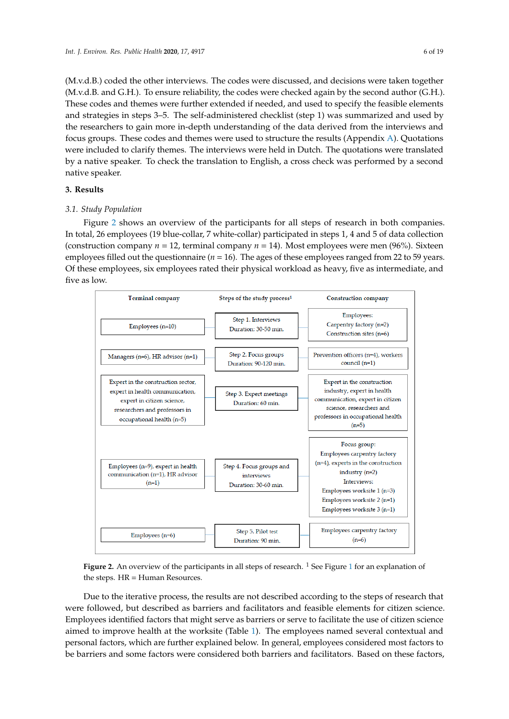(M.v.d.B.) coded the other interviews. The codes were discussed, and decisions were taken together (M.v.d.B. and G.H.). To ensure reliability, the codes were checked again by the second author (G.H.). These codes and themes were further extended if needed, and used to specify the feasible elements and strategies in steps 3–5. The self-administered checklist (step 1) was summarized and used by the researchers to gain more in-depth understanding of the data derived from the interviews and focus groups. These codes and themes were used to structure the results (Appendix [A\)](#page-15-0). Quotations were included to clarify themes. The interviews were held in Dutch. The quotations were translated by a native speaker. To check the translation to English, a cross check was performed by a second native speaker. speaker.

### **3. Results 3. Results**

# *3.1. Study Population 3.1. Study Population*

Figure 2 shows an overview of the participants for all steps of research in both companies. Fi[gur](#page-6-0)e 2 shows an overview of the participants for all steps of research in both companies. In In total, 26 employees (19 blue-collar, 7 white-collar) participated in steps 1, 4 and 5 of data collection total, 26 employees (19 blue-collar, 7 white-collar) participated in steps 1, 4 and 5 of data collection (construction company  $n = 12$ , terminal company  $n = 14$ ). Most employees were men (96%). Sixteen employees filled out the questionnaire ( $n = 16$ ). The ages of these employees ranged from 22 to 59 years. Of these employees, six employees rated their physical workload as heavy, five as intermediate, and five as low.  $\mathbf{r}$  intermediate, and fixed as  $\mathbf{r}$ 

<span id="page-6-0"></span>

**Figure 2.** An overview of the participants in all steps of research. 1 See Figure 1 f[or](#page-4-0) an explanation of **Figure 2.** An overview of the participants in all steps of research. <sup>1</sup> See Figure 1 for an explanation of the steps. HR = Human Resources. the steps. HR = Human Resources.

Due to the iterative process, the results are not described according to the steps of research that Due to the iterative process, the results are not described according to the steps of research that were followed, but described as barriers and facilitators and feasible elements for citizen science. were followed, but described as barriers and facilitators and feasible elements for citizen science. Employees identified factors that might serve as barriers or serve to facilitate the use of citizen science Employees identified factors that might serve as barriers or serve to facilitate the use of citizen science aimed to improve health at the worksite (Table 1). The employees named several contextual and aimed to improve health at the worksite (Table [1\)](#page-7-0). The employees named several contextual and personal factors, which are further explained below. In general, employees considered most factors personal factors, which are further explained below. In general, employees considered most factors to  $\frac{1}{2}$  be barriers and some factors were considered both barriers and factors. Based on the factors,  $\frac{1}{2}$ be barriers and some factors were considered both barriers and facilitators. Based on these factors,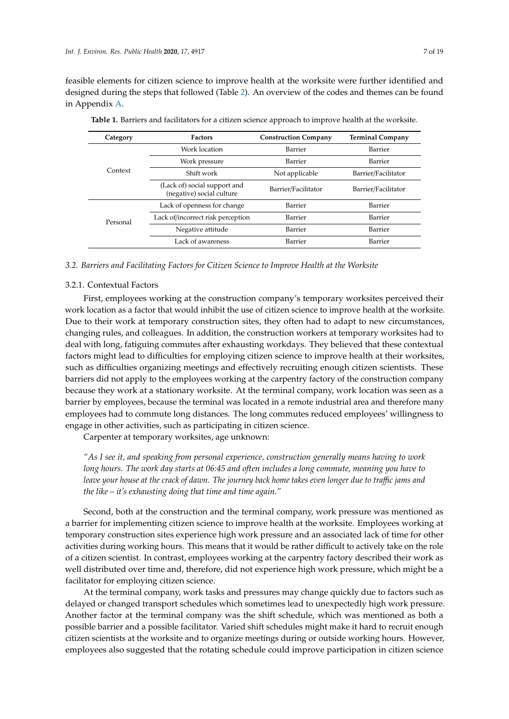feasible elements for citizen science to improve health at the worksite were further identified and designed during the steps that followed (Table [2\)](#page-10-0). An overview of the codes and themes can be found in Appendix [A.](#page-15-0)

| Category                                                                                                                                                                                                                                       | Factors             | <b>Construction Company</b> | <b>Terminal Company</b> |
|------------------------------------------------------------------------------------------------------------------------------------------------------------------------------------------------------------------------------------------------|---------------------|-----------------------------|-------------------------|
| Work location<br>Work pressure<br>Context<br>Shift work<br>(Lack of) social support and<br>(negative) social culture<br>Lack of openness for change<br>Lack of/incorrect risk perception<br>Personal<br>Negative attitude<br>Lack of awareness | Barrier             | Barrier                     |                         |
|                                                                                                                                                                                                                                                | Barrier             | Barrier                     |                         |
|                                                                                                                                                                                                                                                |                     | Not applicable              | Barrier/Facilitator     |
|                                                                                                                                                                                                                                                | Barrier/Facilitator | Barrier/Facilitator         |                         |
|                                                                                                                                                                                                                                                |                     | Barrier                     | Barrier                 |
|                                                                                                                                                                                                                                                |                     | Barrier                     | Barrier                 |
|                                                                                                                                                                                                                                                | Barrier             | Barrier                     |                         |
|                                                                                                                                                                                                                                                |                     | Barrier                     | Barrier                 |

<span id="page-7-0"></span>**Table 1.** Barriers and facilitators for a citizen science approach to improve health at the worksite.

#### *3.2. Barriers and Facilitating Factors for Citizen Science to Improve Health at the Worksite*

#### 3.2.1. Contextual Factors

First, employees working at the construction company's temporary worksites perceived their work location as a factor that would inhibit the use of citizen science to improve health at the worksite. Due to their work at temporary construction sites, they often had to adapt to new circumstances, changing rules, and colleagues. In addition, the construction workers at temporary worksites had to deal with long, fatiguing commutes after exhausting workdays. They believed that these contextual factors might lead to difficulties for employing citizen science to improve health at their worksites, such as difficulties organizing meetings and effectively recruiting enough citizen scientists. These barriers did not apply to the employees working at the carpentry factory of the construction company because they work at a stationary worksite. At the terminal company, work location was seen as a barrier by employees, because the terminal was located in a remote industrial area and therefore many employees had to commute long distances. The long commutes reduced employees' willingness to engage in other activities, such as participating in citizen science.

Carpenter at temporary worksites, age unknown:

*"As I see it, and speaking from personal experience, construction generally means having to work long hours. The work day starts at 06:45 and often includes a long commute, meaning you have to leave your house at the crack of dawn. The journey back home takes even longer due to tra*ffi*c jams and the like – it's exhausting doing that time and time again."*

Second, both at the construction and the terminal company, work pressure was mentioned as a barrier for implementing citizen science to improve health at the worksite. Employees working at temporary construction sites experience high work pressure and an associated lack of time for other activities during working hours. This means that it would be rather difficult to actively take on the role of a citizen scientist. In contrast, employees working at the carpentry factory described their work as well distributed over time and, therefore, did not experience high work pressure, which might be a facilitator for employing citizen science.

At the terminal company, work tasks and pressures may change quickly due to factors such as delayed or changed transport schedules which sometimes lead to unexpectedly high work pressure. Another factor at the terminal company was the shift schedule, which was mentioned as both a possible barrier and a possible facilitator. Varied shift schedules might make it hard to recruit enough citizen scientists at the worksite and to organize meetings during or outside working hours. However, employees also suggested that the rotating schedule could improve participation in citizen science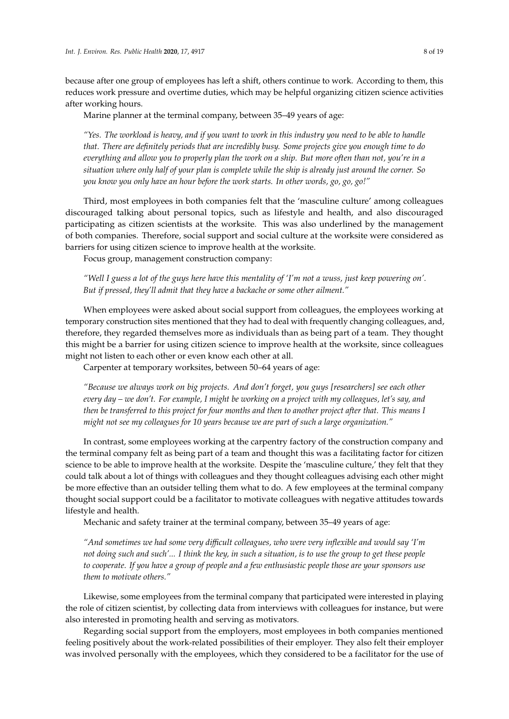because after one group of employees has left a shift, others continue to work. According to them, this reduces work pressure and overtime duties, which may be helpful organizing citizen science activities after working hours.

Marine planner at the terminal company, between 35–49 years of age:

*"Yes. The workload is heavy, and if you want to work in this industry you need to be able to handle that. There are definitely periods that are incredibly busy. Some projects give you enough time to do everything and allow you to properly plan the work on a ship. But more often than not, you're in a situation where only half of your plan is complete while the ship is already just around the corner. So you know you only have an hour before the work starts. In other words, go, go, go!"*

Third, most employees in both companies felt that the 'masculine culture' among colleagues discouraged talking about personal topics, such as lifestyle and health, and also discouraged participating as citizen scientists at the worksite. This was also underlined by the management of both companies. Therefore, social support and social culture at the worksite were considered as barriers for using citizen science to improve health at the worksite.

Focus group, management construction company:

*"Well I guess a lot of the guys here have this mentality of 'I'm not a wuss, just keep powering on'. But if pressed, they'll admit that they have a backache or some other ailment."*

When employees were asked about social support from colleagues, the employees working at temporary construction sites mentioned that they had to deal with frequently changing colleagues, and, therefore, they regarded themselves more as individuals than as being part of a team. They thought this might be a barrier for using citizen science to improve health at the worksite, since colleagues might not listen to each other or even know each other at all.

Carpenter at temporary worksites, between 50–64 years of age:

*"Because we always work on big projects. And don't forget, you guys [researchers] see each other every day – we don't. For example, I might be working on a project with my colleagues, let's say, and then be transferred to this project for four months and then to another project after that. This means I might not see my colleagues for 10 years because we are part of such a large organization."*

In contrast, some employees working at the carpentry factory of the construction company and the terminal company felt as being part of a team and thought this was a facilitating factor for citizen science to be able to improve health at the worksite. Despite the 'masculine culture,' they felt that they could talk about a lot of things with colleagues and they thought colleagues advising each other might be more effective than an outsider telling them what to do. A few employees at the terminal company thought social support could be a facilitator to motivate colleagues with negative attitudes towards lifestyle and health.

Mechanic and safety trainer at the terminal company, between 35–49 years of age:

*"And sometimes we had some very di*ffi*cult colleagues, who were very inflexible and would say 'I'm not doing such and such'... I think the key, in such a situation, is to use the group to get these people to cooperate. If you have a group of people and a few enthusiastic people those are your sponsors use them to motivate others."*

Likewise, some employees from the terminal company that participated were interested in playing the role of citizen scientist, by collecting data from interviews with colleagues for instance, but were also interested in promoting health and serving as motivators.

Regarding social support from the employers, most employees in both companies mentioned feeling positively about the work-related possibilities of their employer. They also felt their employer was involved personally with the employees, which they considered to be a facilitator for the use of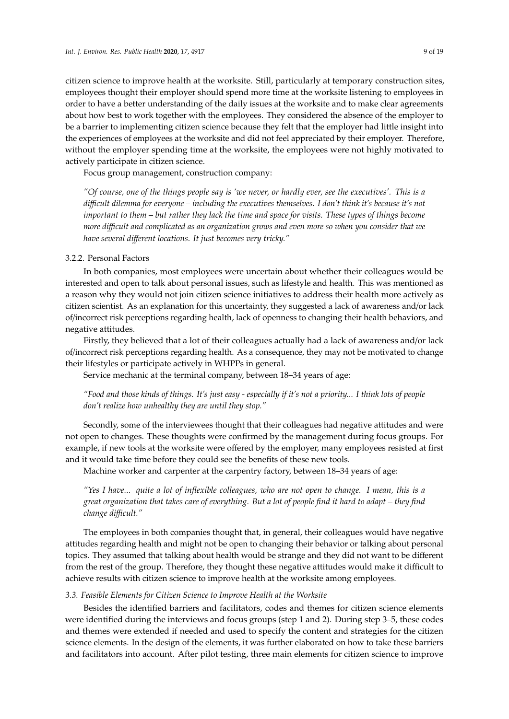citizen science to improve health at the worksite. Still, particularly at temporary construction sites, employees thought their employer should spend more time at the worksite listening to employees in order to have a better understanding of the daily issues at the worksite and to make clear agreements about how best to work together with the employees. They considered the absence of the employer to be a barrier to implementing citizen science because they felt that the employer had little insight into the experiences of employees at the worksite and did not feel appreciated by their employer. Therefore, without the employer spending time at the worksite, the employees were not highly motivated to actively participate in citizen science.

Focus group management, construction company:

*"Of course, one of the things people say is 'we never, or hardly ever, see the executives'. This is a di*ffi*cult dilemma for everyone – including the executives themselves. I don't think it's because it's not important to them – but rather they lack the time and space for visits. These types of things become more di*ffi*cult and complicated as an organization grows and even more so when you consider that we have several di*ff*erent locations. It just becomes very tricky."*

#### 3.2.2. Personal Factors

In both companies, most employees were uncertain about whether their colleagues would be interested and open to talk about personal issues, such as lifestyle and health. This was mentioned as a reason why they would not join citizen science initiatives to address their health more actively as citizen scientist. As an explanation for this uncertainty, they suggested a lack of awareness and/or lack of/incorrect risk perceptions regarding health, lack of openness to changing their health behaviors, and negative attitudes.

Firstly, they believed that a lot of their colleagues actually had a lack of awareness and/or lack of/incorrect risk perceptions regarding health. As a consequence, they may not be motivated to change their lifestyles or participate actively in WHPPs in general.

Service mechanic at the terminal company, between 18–34 years of age:

*"Food and those kinds of things. It's just easy - especially if it's not a priority... I think lots of people don't realize how unhealthy they are until they stop."*

Secondly, some of the interviewees thought that their colleagues had negative attitudes and were not open to changes. These thoughts were confirmed by the management during focus groups. For example, if new tools at the worksite were offered by the employer, many employees resisted at first and it would take time before they could see the benefits of these new tools.

Machine worker and carpenter at the carpentry factory, between 18–34 years of age:

*"Yes I have... quite a lot of inflexible colleagues, who are not open to change. I mean, this is a great organization that takes care of everything. But a lot of people find it hard to adapt – they find change di*ffi*cult."*

The employees in both companies thought that, in general, their colleagues would have negative attitudes regarding health and might not be open to changing their behavior or talking about personal topics. They assumed that talking about health would be strange and they did not want to be different from the rest of the group. Therefore, they thought these negative attitudes would make it difficult to achieve results with citizen science to improve health at the worksite among employees.

#### *3.3. Feasible Elements for Citizen Science to Improve Health at the Worksite*

Besides the identified barriers and facilitators, codes and themes for citizen science elements were identified during the interviews and focus groups (step 1 and 2). During step 3–5, these codes and themes were extended if needed and used to specify the content and strategies for the citizen science elements. In the design of the elements, it was further elaborated on how to take these barriers and facilitators into account. After pilot testing, three main elements for citizen science to improve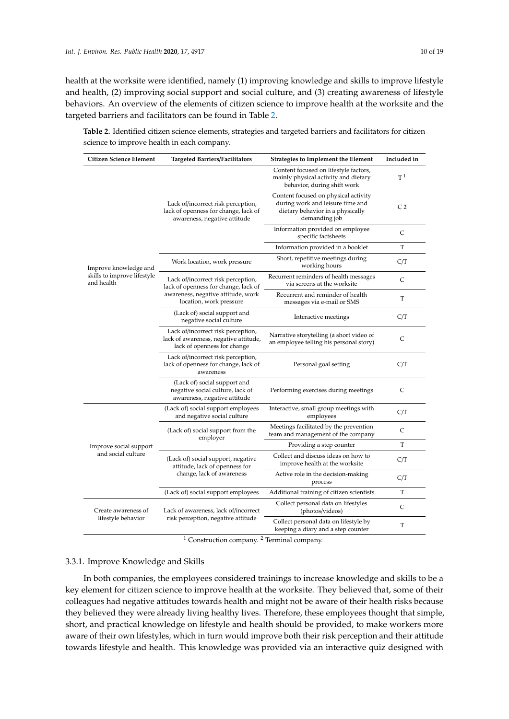health at the worksite were identified, namely (1) improving knowledge and skills to improve lifestyle and health, (2) improving social support and social culture, and (3) creating awareness of lifestyle behaviors. An overview of the elements of citizen science to improve health at the worksite and the targeted barriers and facilitators can be found in Table [2.](#page-10-0)

<span id="page-10-0"></span>**Table 2.** Identified citizen science elements, strategies and targeted barriers and facilitators for citizen science to improve health in each company.

| <b>Citizen Science Element</b>               | <b>Targeted Barriers/Facilitators</b>                                                                                                       | <b>Strategies to Implement the Element</b>                                                                                    | Included in    |
|----------------------------------------------|---------------------------------------------------------------------------------------------------------------------------------------------|-------------------------------------------------------------------------------------------------------------------------------|----------------|
|                                              |                                                                                                                                             | Content focused on lifestyle factors,<br>mainly physical activity and dietary<br>behavior, during shift work                  | T <sup>1</sup> |
|                                              | Lack of/incorrect risk perception,<br>lack of openness for change, lack of<br>awareness, negative attitude                                  | Content focused on physical activity<br>during work and leisure time and<br>dietary behavior in a physically<br>demanding job | C <sub>2</sub> |
|                                              |                                                                                                                                             | Information provided on employee<br>specific factsheets                                                                       | C              |
|                                              |                                                                                                                                             | Information provided in a booklet                                                                                             | T              |
| Improve knowledge and                        | Work location, work pressure                                                                                                                | Short, repetitive meetings during<br>working hours                                                                            | C/T            |
| skills to improve lifestyle<br>and health    | Lack of/incorrect risk perception,<br>lack of openness for change, lack of<br>awareness, negative attitude, work<br>location, work pressure | Recurrent reminders of health messages<br>via screens at the worksite                                                         | $\mathsf{C}$   |
|                                              |                                                                                                                                             | Recurrent and reminder of health<br>messages via e-mail or SMS                                                                | T              |
|                                              | (Lack of) social support and<br>negative social culture                                                                                     | Interactive meetings                                                                                                          | C/T            |
|                                              | Lack of/incorrect risk perception,<br>lack of awareness, negative attitude,<br>lack of openness for change                                  | Narrative storytelling (a short video of<br>an employee telling his personal story)                                           | $\mathsf{C}$   |
|                                              | Lack of/incorrect risk perception,<br>lack of openness for change, lack of<br>awareness                                                     | Personal goal setting                                                                                                         | C/T            |
|                                              | (Lack of) social support and<br>negative social culture, lack of<br>awareness, negative attitude                                            | Performing exercises during meetings                                                                                          | C              |
|                                              | (Lack of) social support employees<br>and negative social culture                                                                           | Interactive, small group meetings with<br>employees                                                                           | C/T            |
| Improve social support<br>and social culture | (Lack of) social support from the<br>employer                                                                                               | Meetings facilitated by the prevention<br>team and management of the company                                                  | C              |
|                                              |                                                                                                                                             | Providing a step counter                                                                                                      | T              |
|                                              | (Lack of) social support, negative<br>attitude, lack of openness for                                                                        | Collect and discuss ideas on how to<br>improve health at the worksite                                                         | C/T            |
|                                              | change, lack of awareness                                                                                                                   | Active role in the decision-making<br>process                                                                                 | C/T            |
|                                              | (Lack of) social support employees                                                                                                          | Additional training of citizen scientists                                                                                     | T              |
| Create awareness of                          | Lack of awareness, lack of/incorrect<br>risk perception, negative attitude                                                                  | Collect personal data on lifestyles<br>(photos/videos)                                                                        | C              |
| lifestyle behavior                           |                                                                                                                                             | Collect personal data on lifestyle by<br>keeping a diary and a step counter                                                   | T              |

<sup>1</sup> Construction company.<sup>2</sup> Terminal company.

#### 3.3.1. Improve Knowledge and Skills

In both companies, the employees considered trainings to increase knowledge and skills to be a key element for citizen science to improve health at the worksite. They believed that, some of their colleagues had negative attitudes towards health and might not be aware of their health risks because they believed they were already living healthy lives. Therefore, these employees thought that simple, short, and practical knowledge on lifestyle and health should be provided, to make workers more aware of their own lifestyles, which in turn would improve both their risk perception and their attitude towards lifestyle and health. This knowledge was provided via an interactive quiz designed with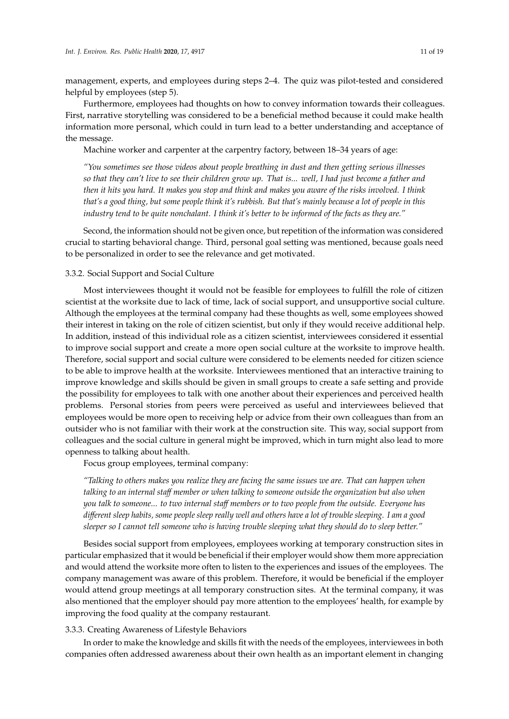management, experts, and employees during steps 2–4. The quiz was pilot-tested and considered helpful by employees (step 5).

Furthermore, employees had thoughts on how to convey information towards their colleagues. First, narrative storytelling was considered to be a beneficial method because it could make health information more personal, which could in turn lead to a better understanding and acceptance of the message.

Machine worker and carpenter at the carpentry factory, between 18–34 years of age:

*"You sometimes see those videos about people breathing in dust and then getting serious illnesses so that they can't live to see their children grow up. That is... well, I had just become a father and then it hits you hard. It makes you stop and think and makes you aware of the risks involved. I think that's a good thing, but some people think it's rubbish. But that's mainly because a lot of people in this industry tend to be quite nonchalant. I think it's better to be informed of the facts as they are."*

Second, the information should not be given once, but repetition of the information was considered crucial to starting behavioral change. Third, personal goal setting was mentioned, because goals need to be personalized in order to see the relevance and get motivated.

#### 3.3.2. Social Support and Social Culture

Most interviewees thought it would not be feasible for employees to fulfill the role of citizen scientist at the worksite due to lack of time, lack of social support, and unsupportive social culture. Although the employees at the terminal company had these thoughts as well, some employees showed their interest in taking on the role of citizen scientist, but only if they would receive additional help. In addition, instead of this individual role as a citizen scientist, interviewees considered it essential to improve social support and create a more open social culture at the worksite to improve health. Therefore, social support and social culture were considered to be elements needed for citizen science to be able to improve health at the worksite. Interviewees mentioned that an interactive training to improve knowledge and skills should be given in small groups to create a safe setting and provide the possibility for employees to talk with one another about their experiences and perceived health problems. Personal stories from peers were perceived as useful and interviewees believed that employees would be more open to receiving help or advice from their own colleagues than from an outsider who is not familiar with their work at the construction site. This way, social support from colleagues and the social culture in general might be improved, which in turn might also lead to more openness to talking about health.

Focus group employees, terminal company:

*"Talking to others makes you realize they are facing the same issues we are. That can happen when talking to an internal sta*ff *member or when talking to someone outside the organization but also when you talk to someone... to two internal sta*ff *members or to two people from the outside. Everyone has di*ff*erent sleep habits, some people sleep really well and others have a lot of trouble sleeping. I am a good sleeper so I cannot tell someone who is having trouble sleeping what they should do to sleep better."*

Besides social support from employees, employees working at temporary construction sites in particular emphasized that it would be beneficial if their employer would show them more appreciation and would attend the worksite more often to listen to the experiences and issues of the employees. The company management was aware of this problem. Therefore, it would be beneficial if the employer would attend group meetings at all temporary construction sites. At the terminal company, it was also mentioned that the employer should pay more attention to the employees' health, for example by improving the food quality at the company restaurant.

#### 3.3.3. Creating Awareness of Lifestyle Behaviors

In order to make the knowledge and skills fit with the needs of the employees, interviewees in both companies often addressed awareness about their own health as an important element in changing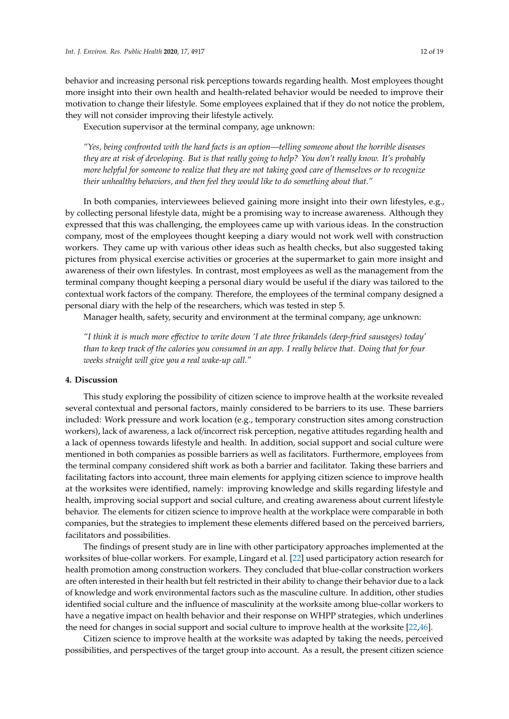behavior and increasing personal risk perceptions towards regarding health. Most employees thought more insight into their own health and health-related behavior would be needed to improve their motivation to change their lifestyle. Some employees explained that if they do not notice the problem, they will not consider improving their lifestyle actively.

Execution supervisor at the terminal company, age unknown:

*"Yes, being confronted with the hard facts is an option—telling someone about the horrible diseases they are at risk of developing. But is that really going to help? You don't really know. It's probably more helpful for someone to realize that they are not taking good care of themselves or to recognize their unhealthy behaviors, and then feel they would like to do something about that."*

In both companies, interviewees believed gaining more insight into their own lifestyles, e.g., by collecting personal lifestyle data, might be a promising way to increase awareness. Although they expressed that this was challenging, the employees came up with various ideas. In the construction company, most of the employees thought keeping a diary would not work well with construction workers. They came up with various other ideas such as health checks, but also suggested taking pictures from physical exercise activities or groceries at the supermarket to gain more insight and awareness of their own lifestyles. In contrast, most employees as well as the management from the terminal company thought keeping a personal diary would be useful if the diary was tailored to the contextual work factors of the company. Therefore, the employees of the terminal company designed a personal diary with the help of the researchers, which was tested in step 5.

Manager health, safety, security and environment at the terminal company, age unknown:

*"I think it is much more e*ff*ective to write down 'I ate three frikandels (deep-fried sausages) today' than to keep track of the calories you consumed in an app. I really believe that. Doing that for four weeks straight will give you a real wake-up call."*

#### **4. Discussion**

This study exploring the possibility of citizen science to improve health at the worksite revealed several contextual and personal factors, mainly considered to be barriers to its use. These barriers included: Work pressure and work location (e.g., temporary construction sites among construction workers), lack of awareness, a lack of/incorrect risk perception, negative attitudes regarding health and a lack of openness towards lifestyle and health. In addition, social support and social culture were mentioned in both companies as possible barriers as well as facilitators. Furthermore, employees from the terminal company considered shift work as both a barrier and facilitator. Taking these barriers and facilitating factors into account, three main elements for applying citizen science to improve health at the worksites were identified, namely: improving knowledge and skills regarding lifestyle and health, improving social support and social culture, and creating awareness about current lifestyle behavior. The elements for citizen science to improve health at the workplace were comparable in both companies, but the strategies to implement these elements differed based on the perceived barriers, facilitators and possibilities.

The findings of present study are in line with other participatory approaches implemented at the worksites of blue-collar workers. For example, Lingard et al. [\[22\]](#page-17-14) used participatory action research for health promotion among construction workers. They concluded that blue-collar construction workers are often interested in their health but felt restricted in their ability to change their behavior due to a lack of knowledge and work environmental factors such as the masculine culture. In addition, other studies identified social culture and the influence of masculinity at the worksite among blue-collar workers to have a negative impact on health behavior and their response on WHPP strategies, which underlines the need for changes in social support and social culture to improve health at the worksite [\[22](#page-17-14)[,46\]](#page-18-10).

Citizen science to improve health at the worksite was adapted by taking the needs, perceived possibilities, and perspectives of the target group into account. As a result, the present citizen science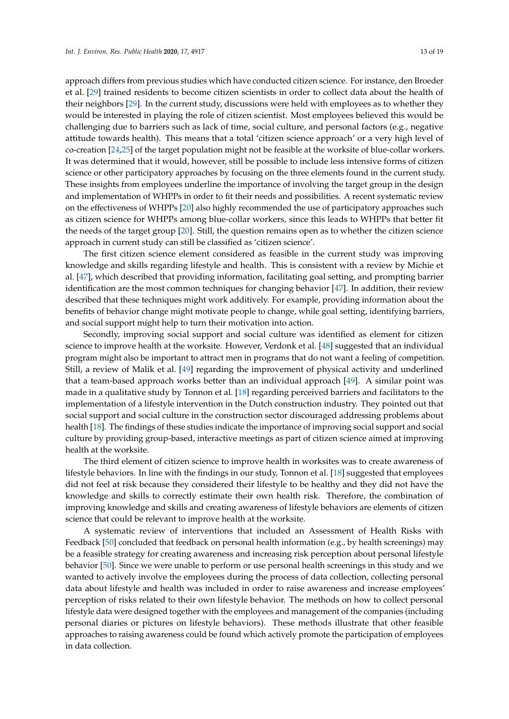approach differs from previous studies which have conducted citizen science. For instance, den Broeder et al. [\[29\]](#page-18-5) trained residents to become citizen scientists in order to collect data about the health of their neighbors [\[29\]](#page-18-5). In the current study, discussions were held with employees as to whether they would be interested in playing the role of citizen scientist. Most employees believed this would be challenging due to barriers such as lack of time, social culture, and personal factors (e.g., negative attitude towards health). This means that a total 'citizen science approach' or a very high level of co-creation [\[24](#page-17-11)[,25\]](#page-17-12) of the target population might not be feasible at the worksite of blue-collar workers. It was determined that it would, however, still be possible to include less intensive forms of citizen science or other participatory approaches by focusing on the three elements found in the current study. These insights from employees underline the importance of involving the target group in the design and implementation of WHPPs in order to fit their needs and possibilities. A recent systematic review on the effectiveness of WHPPs [\[20\]](#page-17-8) also highly recommended the use of participatory approaches such as citizen science for WHPPs among blue-collar workers, since this leads to WHPPs that better fit the needs of the target group [\[20\]](#page-17-8). Still, the question remains open as to whether the citizen science approach in current study can still be classified as 'citizen science'.

The first citizen science element considered as feasible in the current study was improving knowledge and skills regarding lifestyle and health. This is consistent with a review by Michie et al. [\[47\]](#page-18-11), which described that providing information, facilitating goal setting, and prompting barrier identification are the most common techniques for changing behavior [\[47\]](#page-18-11). In addition, their review described that these techniques might work additively. For example, providing information about the benefits of behavior change might motivate people to change, while goal setting, identifying barriers, and social support might help to turn their motivation into action.

Secondly, improving social support and social culture was identified as element for citizen science to improve health at the worksite. However, Verdonk et al. [\[48\]](#page-19-0) suggested that an individual program might also be important to attract men in programs that do not want a feeling of competition. Still, a review of Malik et al. [\[49\]](#page-19-1) regarding the improvement of physical activity and underlined that a team-based approach works better than an individual approach [\[49\]](#page-19-1). A similar point was made in a qualitative study by Tonnon et al. [\[18\]](#page-17-6) regarding perceived barriers and facilitators to the implementation of a lifestyle intervention in the Dutch construction industry. They pointed out that social support and social culture in the construction sector discouraged addressing problems about health [\[18\]](#page-17-6). The findings of these studies indicate the importance of improving social support and social culture by providing group-based, interactive meetings as part of citizen science aimed at improving health at the worksite.

The third element of citizen science to improve health in worksites was to create awareness of lifestyle behaviors. In line with the findings in our study, Tonnon et al. [\[18\]](#page-17-6) suggested that employees did not feel at risk because they considered their lifestyle to be healthy and they did not have the knowledge and skills to correctly estimate their own health risk. Therefore, the combination of improving knowledge and skills and creating awareness of lifestyle behaviors are elements of citizen science that could be relevant to improve health at the worksite.

A systematic review of interventions that included an Assessment of Health Risks with Feedback [\[50\]](#page-19-2) concluded that feedback on personal health information (e.g., by health screenings) may be a feasible strategy for creating awareness and increasing risk perception about personal lifestyle behavior [\[50\]](#page-19-2). Since we were unable to perform or use personal health screenings in this study and we wanted to actively involve the employees during the process of data collection, collecting personal data about lifestyle and health was included in order to raise awareness and increase employees' perception of risks related to their own lifestyle behavior. The methods on how to collect personal lifestyle data were designed together with the employees and management of the companies (including personal diaries or pictures on lifestyle behaviors). These methods illustrate that other feasible approaches to raising awareness could be found which actively promote the participation of employees in data collection.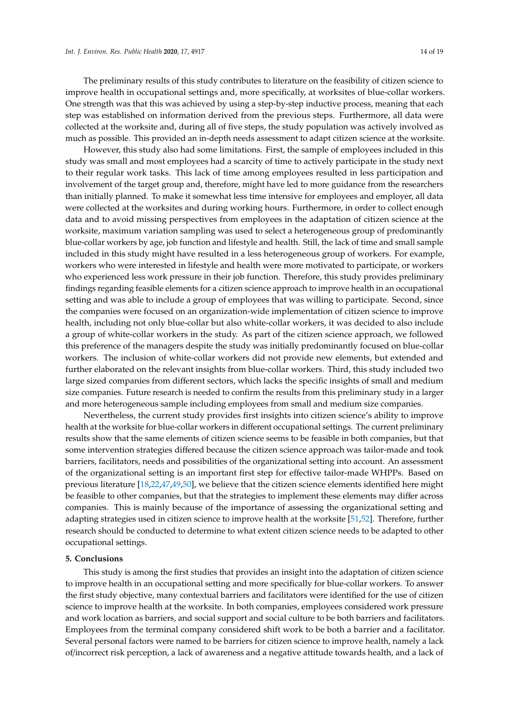The preliminary results of this study contributes to literature on the feasibility of citizen science to improve health in occupational settings and, more specifically, at worksites of blue-collar workers. One strength was that this was achieved by using a step-by-step inductive process, meaning that each step was established on information derived from the previous steps. Furthermore, all data were collected at the worksite and, during all of five steps, the study population was actively involved as much as possible. This provided an in-depth needs assessment to adapt citizen science at the worksite.

However, this study also had some limitations. First, the sample of employees included in this study was small and most employees had a scarcity of time to actively participate in the study next to their regular work tasks. This lack of time among employees resulted in less participation and involvement of the target group and, therefore, might have led to more guidance from the researchers than initially planned. To make it somewhat less time intensive for employees and employer, all data were collected at the worksites and during working hours. Furthermore, in order to collect enough data and to avoid missing perspectives from employees in the adaptation of citizen science at the worksite, maximum variation sampling was used to select a heterogeneous group of predominantly blue-collar workers by age, job function and lifestyle and health. Still, the lack of time and small sample included in this study might have resulted in a less heterogeneous group of workers. For example, workers who were interested in lifestyle and health were more motivated to participate, or workers who experienced less work pressure in their job function. Therefore, this study provides preliminary findings regarding feasible elements for a citizen science approach to improve health in an occupational setting and was able to include a group of employees that was willing to participate. Second, since the companies were focused on an organization-wide implementation of citizen science to improve health, including not only blue-collar but also white-collar workers, it was decided to also include a group of white-collar workers in the study. As part of the citizen science approach, we followed this preference of the managers despite the study was initially predominantly focused on blue-collar workers. The inclusion of white-collar workers did not provide new elements, but extended and further elaborated on the relevant insights from blue-collar workers. Third, this study included two large sized companies from different sectors, which lacks the specific insights of small and medium size companies. Future research is needed to confirm the results from this preliminary study in a larger and more heterogeneous sample including employees from small and medium size companies.

Nevertheless, the current study provides first insights into citizen science's ability to improve health at the worksite for blue-collar workers in different occupational settings. The current preliminary results show that the same elements of citizen science seems to be feasible in both companies, but that some intervention strategies differed because the citizen science approach was tailor-made and took barriers, facilitators, needs and possibilities of the organizational setting into account. An assessment of the organizational setting is an important first step for effective tailor-made WHPPs. Based on previous literature [\[18,](#page-17-6)[22,](#page-17-14)[47](#page-18-11)[,49](#page-19-1)[,50\]](#page-19-2), we believe that the citizen science elements identified here might be feasible to other companies, but that the strategies to implement these elements may differ across companies. This is mainly because of the importance of assessing the organizational setting and adapting strategies used in citizen science to improve health at the worksite [\[51,](#page-19-3)[52\]](#page-19-4). Therefore, further research should be conducted to determine to what extent citizen science needs to be adapted to other occupational settings.

#### **5. Conclusions**

This study is among the first studies that provides an insight into the adaptation of citizen science to improve health in an occupational setting and more specifically for blue-collar workers. To answer the first study objective, many contextual barriers and facilitators were identified for the use of citizen science to improve health at the worksite. In both companies, employees considered work pressure and work location as barriers, and social support and social culture to be both barriers and facilitators. Employees from the terminal company considered shift work to be both a barrier and a facilitator. Several personal factors were named to be barriers for citizen science to improve health, namely a lack of/incorrect risk perception, a lack of awareness and a negative attitude towards health, and a lack of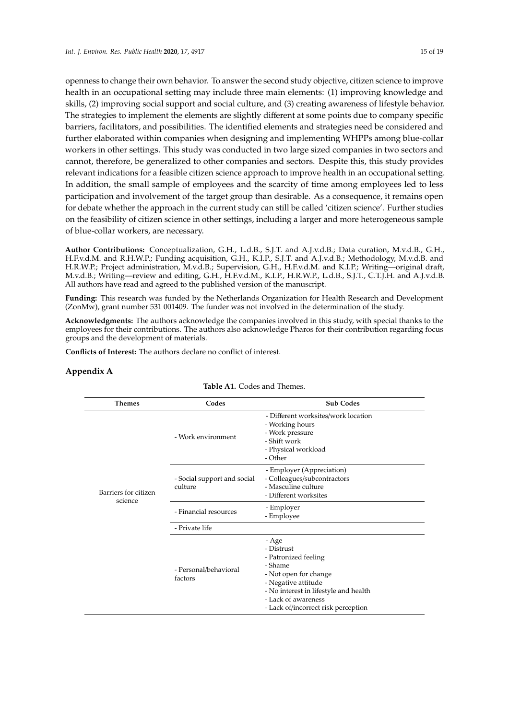openness to change their own behavior. To answer the second study objective, citizen science to improve health in an occupational setting may include three main elements: (1) improving knowledge and skills, (2) improving social support and social culture, and (3) creating awareness of lifestyle behavior. The strategies to implement the elements are slightly different at some points due to company specific barriers, facilitators, and possibilities. The identified elements and strategies need be considered and further elaborated within companies when designing and implementing WHPPs among blue-collar workers in other settings. This study was conducted in two large sized companies in two sectors and cannot, therefore, be generalized to other companies and sectors. Despite this, this study provides relevant indications for a feasible citizen science approach to improve health in an occupational setting. In addition, the small sample of employees and the scarcity of time among employees led to less

participation and involvement of the target group than desirable. As a consequence, it remains open for debate whether the approach in the current study can still be called 'citizen science'. Further studies on the feasibility of citizen science in other settings, including a larger and more heterogeneous sample of blue-collar workers, are necessary.

**Author Contributions:** Conceptualization, G.H., L.d.B., S.J.T. and A.J.v.d.B.; Data curation, M.v.d.B., G.H., H.F.v.d.M. and R.H.W.P.; Funding acquisition, G.H., K.I.P., S.J.T. and A.J.v.d.B.; Methodology, M.v.d.B. and H.R.W.P.; Project administration, M.v.d.B.; Supervision, G.H., H.F.v.d.M. and K.I.P.; Writing—original draft, M.v.d.B.; Writing—review and editing, G.H., H.F.v.d.M., K.I.P., H.R.W.P., L.d.B., S.J.T., C.T.J.H. and A.J.v.d.B. All authors have read and agreed to the published version of the manuscript.

**Funding:** This research was funded by the Netherlands Organization for Health Research and Development (ZonMw), grant number 531 001409. The funder was not involved in the determination of the study.

**Acknowledgments:** The authors acknowledge the companies involved in this study, with special thanks to the employees for their contributions. The authors also acknowledge Pharos for their contribution regarding focus groups and the development of materials.

**Conflicts of Interest:** The authors declare no conflict of interest.

# <span id="page-15-0"></span>**Appendix A**

| <b>Themes</b>                   | Codes                                  | <b>Sub Codes</b>                                                                                                                                                                                              |  |
|---------------------------------|----------------------------------------|---------------------------------------------------------------------------------------------------------------------------------------------------------------------------------------------------------------|--|
|                                 | - Work environment                     | - Different worksites/work location<br>- Working hours<br>- Work pressure<br>- Shift work<br>- Physical workload<br>- Other                                                                                   |  |
| Barriers for citizen<br>science | - Social support and social<br>culture | - Employer (Appreciation)<br>- Colleagues/subcontractors<br>- Masculine culture<br>- Different worksites                                                                                                      |  |
|                                 | - Financial resources                  | - Employer<br>- Employee                                                                                                                                                                                      |  |
|                                 | - Private life                         |                                                                                                                                                                                                               |  |
|                                 | - Personal/behavioral<br>factors       | - Age<br>- Distrust<br>- Patronized feeling<br>- Shame<br>- Not open for change<br>- Negative attitude<br>- No interest in lifestyle and health<br>- Lack of awareness<br>- Lack of/incorrect risk perception |  |

**Table A1.** Codes and Themes.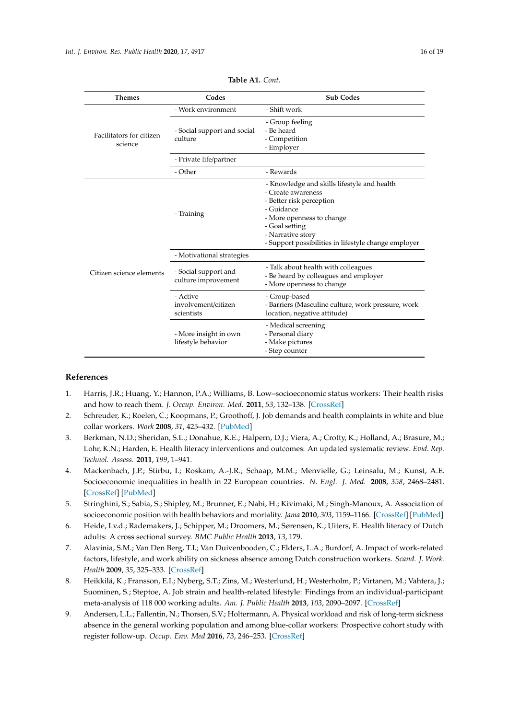| <b>Table A1.</b> Cont.              |                                        |                                                                                                                                                                                                                                         |  |  |
|-------------------------------------|----------------------------------------|-----------------------------------------------------------------------------------------------------------------------------------------------------------------------------------------------------------------------------------------|--|--|
| <b>Themes</b>                       | Codes                                  | <b>Sub Codes</b>                                                                                                                                                                                                                        |  |  |
|                                     | - Work environment                     | - Shift work                                                                                                                                                                                                                            |  |  |
| Facilitators for citizen<br>science | - Social support and social<br>culture | - Group feeling<br>- Be heard<br>- Competition<br>- Employer                                                                                                                                                                            |  |  |
|                                     | - Private life/partner                 |                                                                                                                                                                                                                                         |  |  |
|                                     | - Other                                | - Rewards                                                                                                                                                                                                                               |  |  |
|                                     | - Training                             | - Knowledge and skills lifestyle and health<br>- Create awareness<br>- Better risk perception<br>- Guidance<br>- More openness to change<br>- Goal setting<br>- Narrative story<br>- Support possibilities in lifestyle change employer |  |  |
|                                     | - Motivational strategies              |                                                                                                                                                                                                                                         |  |  |
| Citizen science elements            | - Social support and                   | - Talk about health with colleagues<br>- Be heard by colleagues and employer                                                                                                                                                            |  |  |

- More openness to change

location, negative attitude)

- Barriers (Masculine culture, work pressure, work

- Group-based

- Medical screening - Personal diary - Make pictures - Step counter

#### **References**

<span id="page-16-0"></span>1. Harris, J.R.; Huang, Y.; Hannon, P.A.; Williams, B. Low–socioeconomic status workers: Their health risks and how to reach them. *J. Occup. Environ. Med.* **2011**, *53*, 132–138. [\[CrossRef\]](http://dx.doi.org/10.1097/JOM.0b013e3182045f2c)

culture improvement

involvement/citizen

- More insight in own lifestyle behavior

- Active

scientists

- <span id="page-16-2"></span>2. Schreuder, K.; Roelen, C.; Koopmans, P.; Groothoff, J. Job demands and health complaints in white and blue collar workers. *Work* **2008**, *31*, 425–432. [\[PubMed\]](http://www.ncbi.nlm.nih.gov/pubmed/19127013)
- <span id="page-16-5"></span>3. Berkman, N.D.; Sheridan, S.L.; Donahue, K.E.; Halpern, D.J.; Viera, A.; Crotty, K.; Holland, A.; Brasure, M.; Lohr, K.N.; Harden, E. Health literacy interventions and outcomes: An updated systematic review. *Evid. Rep. Technol. Assess.* **2011**, *199*, 1–941.
- 4. Mackenbach, J.P.; Stirbu, I.; Roskam, A.-J.R.; Schaap, M.M.; Menvielle, G.; Leinsalu, M.; Kunst, A.E. Socioeconomic inequalities in health in 22 European countries. *N. Engl. J. Med.* **2008**, *358*, 2468–2481. [\[CrossRef\]](http://dx.doi.org/10.1056/NEJMsa0707519) [\[PubMed\]](http://www.ncbi.nlm.nih.gov/pubmed/18525043)
- 5. Stringhini, S.; Sabia, S.; Shipley, M.; Brunner, E.; Nabi, H.; Kivimaki, M.; Singh-Manoux, A. Association of socioeconomic position with health behaviors and mortality. *Jama* **2010**, *303*, 1159–1166. [\[CrossRef\]](http://dx.doi.org/10.1001/jama.2010.297) [\[PubMed\]](http://www.ncbi.nlm.nih.gov/pubmed/20332401)
- <span id="page-16-1"></span>6. Heide, I.v.d.; Rademakers, J.; Schipper, M.; Droomers, M.; Sørensen, K.; Uiters, E. Health literacy of Dutch adults: A cross sectional survey. *BMC Public Health* **2013**, *13*, 179.
- <span id="page-16-3"></span>7. Alavinia, S.M.; Van Den Berg, T.I.; Van Duivenbooden, C.; Elders, L.A.; Burdorf, A. Impact of work-related factors, lifestyle, and work ability on sickness absence among Dutch construction workers. *Scand. J. Work. Health* **2009**, *35*, 325–333. [\[CrossRef\]](http://dx.doi.org/10.5271/sjweh.1340)
- <span id="page-16-4"></span>8. Heikkilä, K.; Fransson, E.I.; Nyberg, S.T.; Zins, M.; Westerlund, H.; Westerholm, P.; Virtanen, M.; Vahtera, J.; Suominen, S.; Steptoe, A. Job strain and health-related lifestyle: Findings from an individual-participant meta-analysis of 118 000 working adults. *Am. J. Public Health* **2013**, *103*, 2090–2097. [\[CrossRef\]](http://dx.doi.org/10.2105/AJPH.2012.301090)
- 9. Andersen, L.L.; Fallentin, N.; Thorsen, S.V.; Holtermann, A. Physical workload and risk of long-term sickness absence in the general working population and among blue-collar workers: Prospective cohort study with register follow-up. *Occup. Env. Med* **2016**, *73*, 246–253. [\[CrossRef\]](http://dx.doi.org/10.1136/oemed-2015-103314)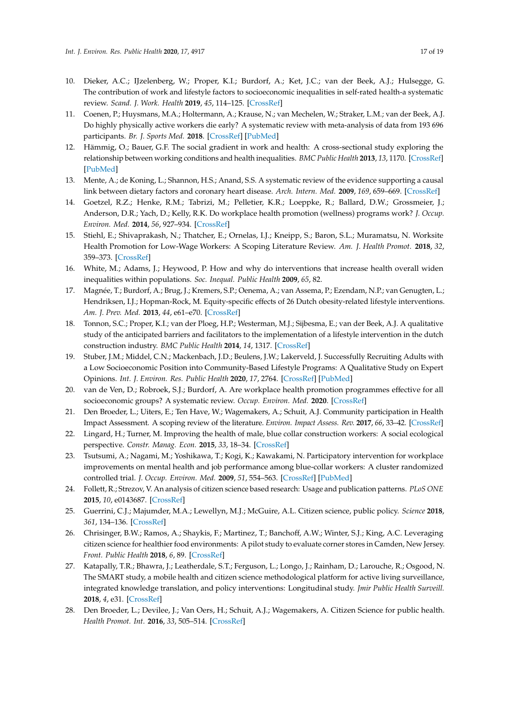- 10. Dieker, A.C.; IJzelenberg, W.; Proper, K.I.; Burdorf, A.; Ket, J.C.; van der Beek, A.J.; Hulsegge, G. The contribution of work and lifestyle factors to socioeconomic inequalities in self-rated health-a systematic review. *Scand. J. Work. Health* **2019**, *45*, 114–125. [\[CrossRef\]](http://dx.doi.org/10.5271/sjweh.3772)
- <span id="page-17-0"></span>11. Coenen, P.; Huysmans, M.A.; Holtermann, A.; Krause, N.; van Mechelen, W.; Straker, L.M.; van der Beek, A.J. Do highly physically active workers die early? A systematic review with meta-analysis of data from 193 696 participants. *Br. J. Sports Med.* **2018**. [\[CrossRef\]](http://dx.doi.org/10.1136/bjsports-2017-098540) [\[PubMed\]](http://www.ncbi.nlm.nih.gov/pubmed/29760168)
- <span id="page-17-1"></span>12. Hämmig, O.; Bauer, G.F. The social gradient in work and health: A cross-sectional study exploring the relationship between working conditions and health inequalities. *BMC Public Health* **2013**, *13*, 1170. [\[CrossRef\]](http://dx.doi.org/10.1186/1471-2458-13-1170) [\[PubMed\]](http://www.ncbi.nlm.nih.gov/pubmed/24330543)
- <span id="page-17-2"></span>13. Mente, A.; de Koning, L.; Shannon, H.S.; Anand, S.S. A systematic review of the evidence supporting a causal link between dietary factors and coronary heart disease. *Arch. Intern. Med.* **2009**, *169*, 659–669. [\[CrossRef\]](http://dx.doi.org/10.1001/archinternmed.2009.38)
- <span id="page-17-3"></span>14. Goetzel, R.Z.; Henke, R.M.; Tabrizi, M.; Pelletier, K.R.; Loeppke, R.; Ballard, D.W.; Grossmeier, J.; Anderson, D.R.; Yach, D.; Kelly, R.K. Do workplace health promotion (wellness) programs work? *J. Occup. Environ. Med.* **2014**, *56*, 927–934. [\[CrossRef\]](http://dx.doi.org/10.1097/JOM.0000000000000276)
- <span id="page-17-4"></span>15. Stiehl, E.; Shivaprakash, N.; Thatcher, E.; Ornelas, I.J.; Kneipp, S.; Baron, S.L.; Muramatsu, N. Worksite Health Promotion for Low-Wage Workers: A Scoping Literature Review. *Am. J. Health Promot.* **2018**, *32*, 359–373. [\[CrossRef\]](http://dx.doi.org/10.1177/0890117117728607)
- 16. White, M.; Adams, J.; Heywood, P. How and why do interventions that increase health overall widen inequalities within populations. *Soc. Inequal. Public Health* **2009**, *65*, 82.
- <span id="page-17-5"></span>17. Magnée, T.; Burdorf, A.; Brug, J.; Kremers, S.P.; Oenema, A.; van Assema, P.; Ezendam, N.P.; van Genugten, L.; Hendriksen, I.J.; Hopman-Rock, M. Equity-specific effects of 26 Dutch obesity-related lifestyle interventions. *Am. J. Prev. Med.* **2013**, *44*, e61–e70. [\[CrossRef\]](http://dx.doi.org/10.1016/j.amepre.2012.11.041)
- <span id="page-17-6"></span>18. Tonnon, S.C.; Proper, K.I.; van der Ploeg, H.P.; Westerman, M.J.; Sijbesma, E.; van der Beek, A.J. A qualitative study of the anticipated barriers and facilitators to the implementation of a lifestyle intervention in the dutch construction industry. *BMC Public Health* **2014**, *14*, 1317. [\[CrossRef\]](http://dx.doi.org/10.1186/1471-2458-14-1317)
- <span id="page-17-7"></span>19. Stuber, J.M.; Middel, C.N.; Mackenbach, J.D.; Beulens, J.W.; Lakerveld, J. Successfully Recruiting Adults with a Low Socioeconomic Position into Community-Based Lifestyle Programs: A Qualitative Study on Expert Opinions. *Int. J. Environ. Res. Public Health* **2020**, *17*, 2764. [\[CrossRef\]](http://dx.doi.org/10.3390/ijerph17082764) [\[PubMed\]](http://www.ncbi.nlm.nih.gov/pubmed/32316344)
- <span id="page-17-8"></span>20. van de Ven, D.; Robroek, S.J.; Burdorf, A. Are workplace health promotion programmes effective for all socioeconomic groups? A systematic review. *Occup. Environ. Med.* **2020**. [\[CrossRef\]](http://dx.doi.org/10.1136/oemed-2019-106311)
- <span id="page-17-9"></span>21. Den Broeder, L.; Uiters, E.; Ten Have, W.; Wagemakers, A.; Schuit, A.J. Community participation in Health Impact Assessment. A scoping review of the literature. *Environ. Impact Assess. Rev.* **2017**, *66*, 33–42. [\[CrossRef\]](http://dx.doi.org/10.1016/j.eiar.2017.06.004)
- <span id="page-17-14"></span>22. Lingard, H.; Turner, M. Improving the health of male, blue collar construction workers: A social ecological perspective. *Constr. Manag. Econ.* **2015**, *33*, 18–34. [\[CrossRef\]](http://dx.doi.org/10.1080/01446193.2014.997259)
- <span id="page-17-10"></span>23. Tsutsumi, A.; Nagami, M.; Yoshikawa, T.; Kogi, K.; Kawakami, N. Participatory intervention for workplace improvements on mental health and job performance among blue-collar workers: A cluster randomized controlled trial. *J. Occup. Environ. Med.* **2009**, *51*, 554–563. [\[CrossRef\]](http://dx.doi.org/10.1097/JOM.0b013e3181a24d28) [\[PubMed\]](http://www.ncbi.nlm.nih.gov/pubmed/19365287)
- <span id="page-17-11"></span>24. Follett, R.; Strezov, V. An analysis of citizen science based research: Usage and publication patterns. *PLoS ONE* **2015**, *10*, e0143687. [\[CrossRef\]](http://dx.doi.org/10.1371/journal.pone.0143687)
- <span id="page-17-12"></span>25. Guerrini, C.J.; Majumder, M.A.; Lewellyn, M.J.; McGuire, A.L. Citizen science, public policy. *Science* **2018**, *361*, 134–136. [\[CrossRef\]](http://dx.doi.org/10.1126/science.aar8379)
- <span id="page-17-13"></span>26. Chrisinger, B.W.; Ramos, A.; Shaykis, F.; Martinez, T.; Banchoff, A.W.; Winter, S.J.; King, A.C. Leveraging citizen science for healthier food environments: A pilot study to evaluate corner stores in Camden, New Jersey. *Front. Public Health* **2018**, *6*, 89. [\[CrossRef\]](http://dx.doi.org/10.3389/fpubh.2018.00089)
- 27. Katapally, T.R.; Bhawra, J.; Leatherdale, S.T.; Ferguson, L.; Longo, J.; Rainham, D.; Larouche, R.; Osgood, N. The SMART study, a mobile health and citizen science methodological platform for active living surveillance, integrated knowledge translation, and policy interventions: Longitudinal study. *Jmir Public Health Surveill.* **2018**, *4*, e31. [\[CrossRef\]](http://dx.doi.org/10.2196/publichealth.8953)
- 28. Den Broeder, L.; Devilee, J.; Van Oers, H.; Schuit, A.J.; Wagemakers, A. Citizen Science for public health. *Health Promot. Int.* **2016**, *33*, 505–514. [\[CrossRef\]](http://dx.doi.org/10.1093/heapro/daw086)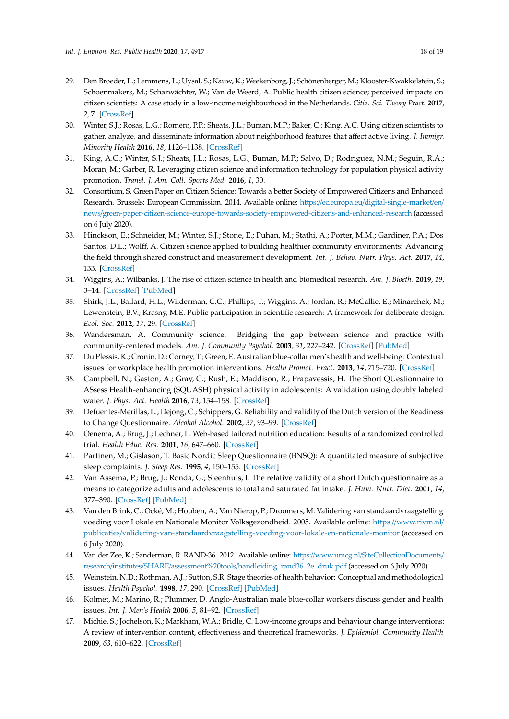- <span id="page-18-5"></span>29. Den Broeder, L.; Lemmens, L.; Uysal, S.; Kauw, K.; Weekenborg, J.; Schönenberger, M.; Klooster-Kwakkelstein, S.; Schoenmakers, M.; Scharwächter, W.; Van de Weerd, A. Public health citizen science; perceived impacts on citizen scientists: A case study in a low-income neighbourhood in the Netherlands. *Citiz. Sci. Theory Pract.* **2017**, *2*, 7. [\[CrossRef\]](http://dx.doi.org/10.5334/cstp.89)
- <span id="page-18-6"></span>30. Winter, S.J.; Rosas, L.G.; Romero, P.P.; Sheats, J.L.; Buman, M.P.; Baker, C.; King, A.C. Using citizen scientists to gather, analyze, and disseminate information about neighborhood features that affect active living. *J. Immigr. Minority Health* **2016**, *18*, 1126–1138. [\[CrossRef\]](http://dx.doi.org/10.1007/s10903-015-0241-x)
- <span id="page-18-0"></span>31. King, A.C.; Winter, S.J.; Sheats, J.L.; Rosas, L.G.; Buman, M.P.; Salvo, D.; Rodriguez, N.M.; Seguin, R.A.; Moran, M.; Garber, R. Leveraging citizen science and information technology for population physical activity promotion. *Transl. J. Am. Coll. Sports Med.* **2016**, *1*, 30.
- <span id="page-18-1"></span>32. Consortium, S. Green Paper on Citizen Science: Towards a better Society of Empowered Citizens and Enhanced Research. Brussels: European Commission. 2014. Available online: https://ec.europa.eu/[digital-single-market](https://ec.europa.eu/digital-single-market/en/news/green-paper-citizen-science-europe-towards-society-empowered-citizens-and-enhanced-research)/en/ news/[green-paper-citizen-science-europe-towards-society-empowered-citizens-and-enhanced-research](https://ec.europa.eu/digital-single-market/en/news/green-paper-citizen-science-europe-towards-society-empowered-citizens-and-enhanced-research) (accessed on 6 July 2020).
- <span id="page-18-2"></span>33. Hinckson, E.; Schneider, M.; Winter, S.J.; Stone, E.; Puhan, M.; Stathi, A.; Porter, M.M.; Gardiner, P.A.; Dos Santos, D.L.; Wolff, A. Citizen science applied to building healthier community environments: Advancing the field through shared construct and measurement development. *Int. J. Behav. Nutr. Phys. Act.* **2017**, *14*, 133. [\[CrossRef\]](http://dx.doi.org/10.1186/s12966-017-0588-6)
- <span id="page-18-3"></span>34. Wiggins, A.; Wilbanks, J. The rise of citizen science in health and biomedical research. *Am. J. Bioeth.* **2019**, *19*, 3–14. [\[CrossRef\]](http://dx.doi.org/10.1080/15265161.2019.1619859) [\[PubMed\]](http://www.ncbi.nlm.nih.gov/pubmed/31339831)
- 35. Shirk, J.L.; Ballard, H.L.; Wilderman, C.C.; Phillips, T.; Wiggins, A.; Jordan, R.; McCallie, E.; Minarchek, M.; Lewenstein, B.V.; Krasny, M.E. Public participation in scientific research: A framework for deliberate design. *Ecol. Soc.* **2012**, *17*, 29. [\[CrossRef\]](http://dx.doi.org/10.5751/ES-04705-170229)
- <span id="page-18-4"></span>36. Wandersman, A. Community science: Bridging the gap between science and practice with community-centered models. *Am. J. Community Psychol.* **2003**, *31*, 227–242. [\[CrossRef\]](http://dx.doi.org/10.1023/A:1023954503247) [\[PubMed\]](http://www.ncbi.nlm.nih.gov/pubmed/12866681)
- <span id="page-18-7"></span>37. Du Plessis, K.; Cronin, D.; Corney, T.; Green, E. Australian blue-collar men's health and well-being: Contextual issues for workplace health promotion interventions. *Health Promot. Pract.* **2013**, *14*, 715–720. [\[CrossRef\]](http://dx.doi.org/10.1177/1524839912464046)
- <span id="page-18-8"></span>38. Campbell, N.; Gaston, A.; Gray, C.; Rush, E.; Maddison, R.; Prapavessis, H. The Short QUestionnaire to ASsess Health-enhancing (SQUASH) physical activity in adolescents: A validation using doubly labeled water. *J. Phys. Act. Health* **2016**, *13*, 154–158. [\[CrossRef\]](http://dx.doi.org/10.1123/jpah.2015-0031)
- 39. Defuentes-Merillas, L.; Dejong, C.; Schippers, G. Reliability and validity of the Dutch version of the Readiness to Change Questionnaire. *Alcohol Alcohol.* **2002**, *37*, 93–99. [\[CrossRef\]](http://dx.doi.org/10.1093/alcalc/37.1.93)
- 40. Oenema, A.; Brug, J.; Lechner, L. Web-based tailored nutrition education: Results of a randomized controlled trial. *Health Educ. Res.* **2001**, *16*, 647–660. [\[CrossRef\]](http://dx.doi.org/10.1093/her/16.6.647)
- 41. Partinen, M.; Gislason, T. Basic Nordic Sleep Questionnaire (BNSQ): A quantitated measure of subjective sleep complaints. *J. Sleep Res.* **1995**, *4*, 150–155. [\[CrossRef\]](http://dx.doi.org/10.1111/j.1365-2869.1995.tb00205.x)
- 42. Van Assema, P.; Brug, J.; Ronda, G.; Steenhuis, I. The relative validity of a short Dutch questionnaire as a means to categorize adults and adolescents to total and saturated fat intake. *J. Hum. Nutr. Diet.* **2001**, *14*, 377–390. [\[CrossRef\]](http://dx.doi.org/10.1046/j.1365-277X.2001.00310.x) [\[PubMed\]](http://www.ncbi.nlm.nih.gov/pubmed/11906579)
- 43. Van den Brink, C.; Ocké, M.; Houben, A.; Van Nierop, P.; Droomers, M. Validering van standaardvraagstelling voeding voor Lokale en Nationale Monitor Volksgezondheid. 2005. Available online: https://[www.rivm.nl](https://www.rivm.nl/publicaties/validering-van-standaardvraagstelling-voeding-voor-lokale-en-nationale-monitor)/ publicaties/[validering-van-standaardvraagstelling-voeding-voor-lokale-en-nationale-monitor](https://www.rivm.nl/publicaties/validering-van-standaardvraagstelling-voeding-voor-lokale-en-nationale-monitor) (accessed on 6 July 2020).
- 44. Van der Zee, K.; Sanderman, R. RAND-36. 2012. Available online: https://www.umcg.nl/[SiteCollectionDocuments](https://www.umcg.nl/SiteCollectionDocuments/research/institutes/SHARE/assessment%20tools/handleiding_rand36_2e_druk.pdf)/ research/institutes/SHARE/assessment%20tools/[handleiding\\_rand36\\_2e\\_druk.pdf](https://www.umcg.nl/SiteCollectionDocuments/research/institutes/SHARE/assessment%20tools/handleiding_rand36_2e_druk.pdf) (accessed on 6 July 2020).
- <span id="page-18-9"></span>45. Weinstein, N.D.; Rothman, A.J.; Sutton, S.R. Stage theories of health behavior: Conceptual and methodological issues. *Health Psychol.* **1998**, *17*, 290. [\[CrossRef\]](http://dx.doi.org/10.1037/0278-6133.17.3.290) [\[PubMed\]](http://www.ncbi.nlm.nih.gov/pubmed/9619480)
- <span id="page-18-10"></span>46. Kolmet, M.; Marino, R.; Plummer, D. Anglo-Australian male blue-collar workers discuss gender and health issues. *Int. J. Men's Health* **2006**, *5*, 81–92. [\[CrossRef\]](http://dx.doi.org/10.3149/jmh.0501.81)
- <span id="page-18-11"></span>47. Michie, S.; Jochelson, K.; Markham, W.A.; Bridle, C. Low-income groups and behaviour change interventions: A review of intervention content, effectiveness and theoretical frameworks. *J. Epidemiol. Community Health* **2009**, *63*, 610–622. [\[CrossRef\]](http://dx.doi.org/10.1136/jech.2008.078725)